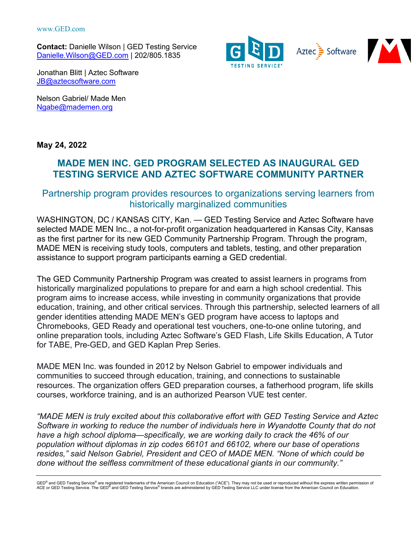**Contact:** Danielle Wilson | GED Testing Service [Danielle.Wilson@GED.com](mailto:Danielle.Wilson@GED.com) | 202/805.1835



Aztec  $\leftarrow$  Software



Jonathan Blitt | Aztec Software [JB@aztecsoftware.com](mailto:JB@aztecsoftware.com)

Nelson Gabriel/ Made Men [Ngabe@mademen.org](mailto:Ngabe@mademen.org)

**May 24, 2022**

# **MADE MEN INC. GED PROGRAM SELECTED AS INAUGURAL GED TESTING SERVICE AND AZTEC SOFTWARE COMMUNITY PARTNER**

## Partnership program provides resources to organizations serving learners from historically marginalized communities

WASHINGTON, DC / KANSAS CITY, Kan. — GED Testing Service and Aztec Software have selected MADE MEN Inc., a not-for-profit organization headquartered in Kansas City, Kansas as the first partner for its new GED Community Partnership Program. Through the program, MADE MEN is receiving study tools, computers and tablets, testing, and other preparation assistance to support program participants earning a GED credential.

The GED Community Partnership Program was created to assist learners in programs from historically marginalized populations to prepare for and earn a high school credential. This program aims to increase access, while investing in community organizations that provide education, training, and other critical services. Through this partnership, selected learners of all gender identities attending MADE MEN's GED program have access to laptops and Chromebooks, GED Ready and operational test vouchers, one-to-one online tutoring, and online preparation tools, including Aztec Software's GED Flash, Life Skills Education, A Tutor for TABE, Pre-GED, and GED Kaplan Prep Series.

MADE MEN Inc. was founded in 2012 by Nelson Gabriel to empower individuals and communities to succeed through education, training, and connections to sustainable resources. The organization offers GED preparation courses, a fatherhood program, life skills courses, workforce training, and is an authorized Pearson VUE test center.

*"MADE MEN is truly excited about this collaborative effort with GED Testing Service and Aztec Software in working to reduce the number of individuals here in Wyandotte County that do not have a high school diploma—specifically, we are working daily to crack the 46% of our population without diplomas in zip codes 66101 and 66102, where our base of operations resides," said Nelson Gabriel, President and CEO of MADE MEN. "None of which could be done without the selfless commitment of these educational giants in our community."*

GED® and GED Testing Service® are registered trademarks of the American Council on Education ("ACE"). They may not be used or reproduced without the express written permission of<br>ACE or GED Testing Service. The GED® and GE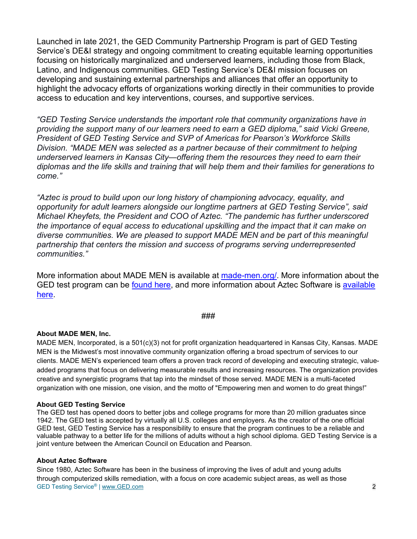Launched in late 2021, the GED Community Partnership Program is part of GED Testing Service's DE&I strategy and ongoing commitment to creating equitable learning opportunities focusing on historically marginalized and underserved learners, including those from Black, Latino, and Indigenous communities. GED Testing Service's DE&I mission focuses on developing and sustaining external partnerships and alliances that offer an opportunity to highlight the advocacy efforts of organizations working directly in their communities to provide access to education and key interventions, courses, and supportive services.

*"GED Testing Service understands the important role that community organizations have in providing the support many of our learners need to earn a GED diploma," said Vicki Greene, President of GED Testing Service and SVP of Americas for Pearson's Workforce Skills Division. "MADE MEN was selected as a partner because of their commitment to helping underserved learners in Kansas City—offering them the resources they need to earn their diplomas and the life skills and training that will help them and their families for generations to come."*

*"Aztec is proud to build upon our long history of championing advocacy, equality, and opportunity for adult learners alongside our longtime partners at GED Testing Service", said Michael Kheyfets, the President and COO of Aztec. "The pandemic has further underscored the importance of equal access to educational upskilling and the impact that it can make on diverse communities. We are pleased to support MADE MEN and be part of this meaningful partnership that centers the mission and success of programs serving underrepresented communities."*

More information about MADE MEN is available at [made-men.org/.](https://www.made-men.org/) More information about the GED test program can be [found here,](https://ged.com/) and more information about Aztec Software is available [here.](https://www.aztecsoftware.com/)

## ###

## **About MADE MEN, Inc.**

MADE MEN, Incorporated, is a 501(c)(3) not for profit organization headquartered in Kansas City, Kansas. MADE MEN is the Midwest's most innovative community organization offering a broad spectrum of services to our clients. MADE MEN's experienced team offers a proven track record of developing and executing strategic, valueadded programs that focus on delivering measurable results and increasing resources. The organization provides creative and synergistic programs that tap into the mindset of those served. MADE MEN is a multi-faceted organization with one mission, one vision, and the motto of "Empowering men and women to do great things!"

## **About GED Testing Service**

The GED test has opened doors to better jobs and college programs for more than 20 million graduates since 1942. The GED test is accepted by virtually all U.S. colleges and employers. As the creator of the one official GED test, GED Testing Service has a responsibility to ensure that the program continues to be a reliable and valuable pathway to a better life for the millions of adults without a high school diploma. GED Testing Service is a joint venture between the American Council on Education and Pearson.

## **About Aztec Software**

GED Testing Service® | [www.GED.com](http://www.ged.com/) 2 Since 1980, Aztec Software has been in the business of improving the lives of adult and young adults through computerized skills remediation, with a focus on core academic subject areas, as well as those